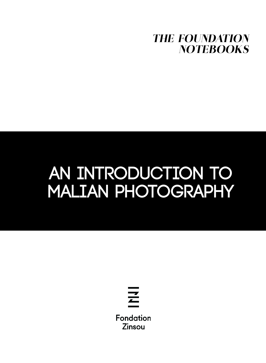

## **AN INTRODUCTION TO MALIAN PHOTOGRAPHY**

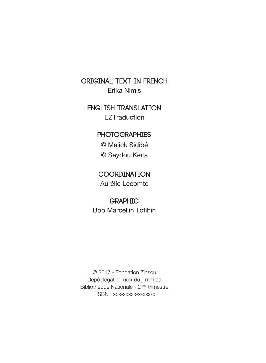**ORIGINAL TEXT IN FRENCH** Erika Nimis

**ENGLISH TRANSLATION EZTraduction** 

**PHOTOGRAPHIES**

© Malick Sidibé

© Seydou Keïta

**COORDINATION** Aurélie Lecomte

**GRAPHIC** Bob Marcellin Totihin

© 2017 - Fondation Zinsou Dépôt légal n° xxxx du jj mm aa Bibliothèque Nationale - 2ème trimestre ISBN : xxx-xxxxx-x-xxx-x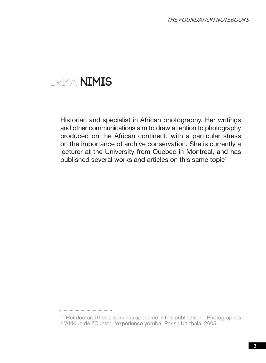## Erika **NIMIS**

Historian and specialist in African photography. Her writings and other communications aim to draw attention to photography produced on the African continent, with a particular stress on the importance of archive conservation. She is currently a lecturer at the University from Quebec in Montreal, and has published several works and articles on this same topic $^1$ .

<sup>1.</sup> Her doctoral thesis work has appeared in this publication: : Photographes d'Afrique de l'Ouest : l'expérience yoruba, Paris : Karthala, 2005.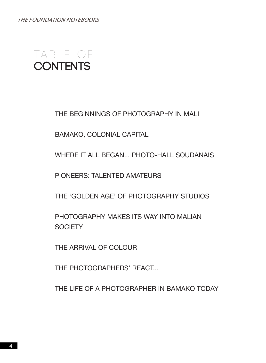THE FOUNDATION NOTEBOOKS



THE BEGINNINGS OF PHOTOGRAPHY IN MALI

BAMAKO, COLONIAL CAPITAL

WHERE IT ALL BEGAN... PHOTO-HALL SOUDANAIS

PIONEERS: TALENTED AMATEURS

THE 'GOLDEN AGE' OF PHOTOGRAPHY STUDIOS

PHOTOGRAPHY MAKES ITS WAY INTO MALIAN **SOCIETY** 

THE ARRIVAL OF COLOUR

THE PHOTOGRAPHERS' REACT...

THE LIFE OF A PHOTOGRAPHER IN BAMAKO TODAY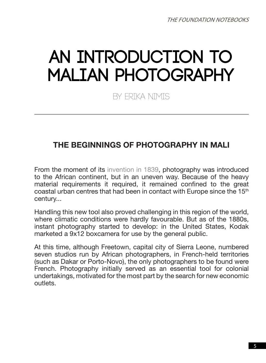# **AN INTRODUCTION TO MALIAN PHOTOGRAPHY**

By Erika NIMIS

## **THE BEGINNINGS OF PHOTOGRAPHY IN MALI**

From the moment of its invention in 1839, photography was introduced to the African continent, but in an uneven way. Because of the heavy material requirements it required, it remained confined to the great coastal urban centres that had been in contact with Europe since the 15<sup>th</sup> century...

Handling this new tool also proved challenging in this region of the world, where climatic conditions were hardly favourable. But as of the 1880s, instant photography started to develop: in the United States, Kodak marketed a 9x12 boxcamera for use by the general public.

At this time, although Freetown, capital city of Sierra Leone, numbered seven studios run by African photographers, in French-held territories (such as Dakar or Porto-Novo), the only photographers to be found were French. Photography initially served as an essential tool for colonial undertakings, motivated for the most part by the search for new economic outlets.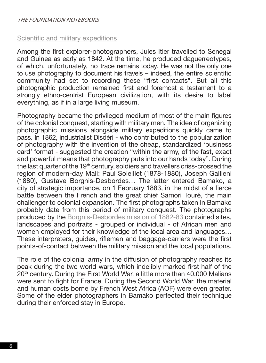#### Scientific and military expeditions

Among the first explorer-photographers, Jules Itier travelled to Senegal and Guinea as early as 1842. At the time, he produced daguerreotypes, of which, unfortunately, no trace remains today. He was not the only one to use photography to document his travels – indeed, the entire scientific community had set to recording these "first contacts". But all this photographic production remained first and foremost a testament to a strongly ethno-centrist European civilization, with its desire to label everything, as if in a large living museum.

Photography became the privileged medium of most of the main figures of the colonial conquest, starting with military men. The idea of organizing photographic missions alongside military expeditions quickly came to pass. In 1862, industrialist Disdéri - who contributed to the popularization of photography with the invention of the cheap, standardized 'business card' format - suggested the creation "within the army, of the fast, exact and powerful means that photography puts into our hands today". During the last quarter of the 19<sup>th</sup> century, soldiers and travellers criss-crossed the region of modern-day Mali: Paul Soleillet (1878-1880), Joseph Gallieni (1880), Gustave Borgnis-Desbordes… The latter entered Bamako, a city of strategic importance, on 1 February 1883, in the midst of a fierce battle between the French and the great chief Samori Touré, the main challenger to colonial expansion. The first photographs taken in Bamako probably date from this period of military conquest. The photographs produced by the Borgnis-Desbordes mission of 1882-83 contained sites, landscapes and portraits - grouped or individual - of African men and women employed for their knowledge of the local area and languages… These interpreters, guides, riflemen and baggage-carriers were the first points-of-contact between the military mission and the local populations.

The role of the colonial army in the diffusion of photography reaches its peak during the two world wars, which indelibly marked first half of the 20th century. During the First World War, a little more than 40.000 Malians were sent to fight for France. During the Second World War, the material and human costs borne by French West Africa (AOF) were even greater. Some of the elder photographers in Bamako perfected their technique during their enforced stay in Europe.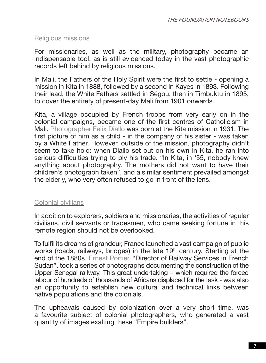#### Religious missions

For missionaries, as well as the military, photography became an indispensable tool, as is still evidenced today in the vast photographic records left behind by religious missions.

In Mali, the Fathers of the Holy Spirit were the first to settle - opening a mission in Kita in 1888, followed by a second in Kayes in 1893. Following their lead, the White Fathers settled in Ségou, then in Timbuktu in 1895, to cover the entirety of present-day Mali from 1901 onwards.

Kita, a village occupied by French troops from very early on in the colonial campaigns, became one of the first centres of Catholicism in Mali. Photographer Felix Diallo was born at the Kita mission in 1931. The first picture of him as a child - in the company of his sister - was taken by a White Father. However, outside of the mission, photography didn't seem to take hold: when Diallo set out on his own in Kita, he ran into serious difficulties trying to ply his trade. "In Kita, in '55, nobody knew anything about photography. The mothers did not want to have their children's photograph taken", and a similar sentiment prevailed amongst the elderly, who very often refused to go in front of the lens.

#### Colonial civilians

In addition to explorers, soldiers and missionaries, the activities of regular civilians, civil servants or tradesmen, who came seeking fortune in this remote region should not be overlooked.

To fulfil its dreams of grandeur, France launched a vast campaign of public works (roads, railways, bridges) in the late 19<sup>th</sup> century. Starting at the end of the 1880s, Ernest Portier, "Director of Railway Services in French Sudan", took a series of photographs documenting the construction of the Upper Senegal railway. This great undertaking – which required the forced labour of hundreds of thousands of Africans displaced for the task - was also an opportunity to establish new cultural and technical links between native populations and the colonials.

The upheavals caused by colonization over a very short time, was a favourite subject of colonial photographers, who generated a vast quantity of images exalting these "Empire builders".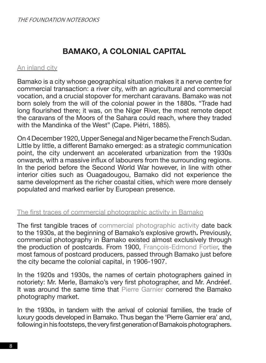## **BAMAKO, A COLONIAL CAPITAL**

#### An inland city

Bamako is a city whose geographical situation makes it a nerve centre for commercial transaction: a river city, with an agricultural and commercial vocation, and a crucial stopover for merchant caravans. Bamako was not born solely from the will of the colonial power in the 1880s. "Trade had long flourished there; it was, on the Niger River, the most remote depot the caravans of the Moors of the Sahara could reach, where they traded with the Mandinka of the West" (Cape. Piétri, 1885).

On 4 December 1920, Upper Senegal and Niger became the French Sudan. Little by little, a different Bamako emerged: as a strategic communication point, the city underwent an accelerated urbanization from the 1930s onwards, with a massive influx of labourers from the surrounding regions. In the period before the Second World War however, in line with other interior cities such as Ouagadougou, Bamako did not experience the same development as the richer coastal cities, which were more densely populated and marked earlier by European presence.

#### The first traces of commercial photographic activity in Bamako

The first tangible traces of commercial photographic activity date back to the 1930s, at the beginning of Bamako's explosive growth**.** Previously, commercial photography in Bamako existed almost exclusively through the production of postcards. From 1900, François-Edmond Fortier, the most famous of postcard producers, passed through Bamako just before the city became the colonial capital, in 1906-1907.

In the 1920s and 1930s, the names of certain photographers gained in notoriety: Mr. Merle, Bamako's very first photographer, and Mr. Andréef. It was around the same time that Pierre Garnier cornered the Bamako photography market.

In the 1930s, in tandem with the arrival of colonial families, the trade of luxury goods developed in Bamako. Thus began the 'Pierre Garnier era' and, following in his footsteps, the very first generation of Bamakois photographers.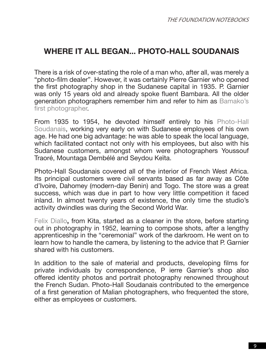## WHERE IT ALL BEGAN. PHOTO-HALL SOUDANAIS

There is a risk of over-stating the role of a man who, after all, was merely a "photo-film dealer". However, it was certainly Pierre Garnier who opened the first photography shop in the Sudanese capital in 1935. P. Garnier was only 15 years old and already spoke fluent Bambara. All the older generation photographers remember him and refer to him as Bamako's first photographer.

From 1935 to 1954, he devoted himself entirely to his Photo-Hall Soudanais, working very early on with Sudanese employees of his own age. He had one big advantage: he was able to speak the local language, which facilitated contact not only with his employees, but also with his Sudanese customers, amongst whom were photographers Youssouf Traoré, Mountaga Dembélé and Seydou Keïta.

Photo-Hall Soudanais covered all of the interior of French West Africa. Its principal customers were civil servants based as far away as Côte d'Ivoire, Dahomey (modern-day Benin) and Togo. The store was a great success, which was due in part to how very little competition it faced inland. In almost twenty years of existence, the only time the studio's activity dwindles was during the Second World War.

Felix Diallo**,** from Kita, started as a cleaner in the store, before starting out in photography in 1952, learning to compose shots, after a lengthy apprenticeship in the "ceremonial" work of the darkroom. He went on to learn how to handle the camera, by listening to the advice that P. Garnier shared with his customers.

In addition to the sale of material and products, developing films for private individuals by correspondence, P ierre Garnier's shop also offered identity photos and portrait photography renowned throughout the French Sudan. Photo-Hall Soudanais contributed to the emergence of a first generation of Malian photographers, who frequented the store, either as employees or customers.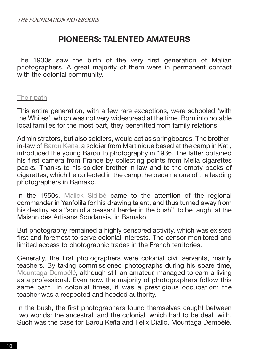### **PIONEERS: TALENTED AMATEURS**

The 1930s saw the birth of the very first generation of Malian photographers. A great majority of them were in permanent contact with the colonial community.

#### Their path

This entire generation, with a few rare exceptions, were schooled 'with the Whites', which was not very widespread at the time. Born into notable local families for the most part, they benefitted from family relations.

Administrators, but also soldiers, would act as springboards. The brotherin-law of Barou Keïta, a soldier from Martinique based at the camp in Kati, introduced the young Barou to photography in 1936. The latter obtained his first camera from France by collecting points from Melia cigarettes packs. Thanks to his soldier brother-in-law and to the empty packs of cigarettes, which he collected in the camp, he became one of the leading photographers in Bamako.

In the 1950s, Malick Sidibé came to the attention of the regional commander in Yanfolila for his drawing talent, and thus turned away from his destiny as a "son of a peasant herder in the bush", to be taught at the Maison des Artisans Soudanais, in Bamako.

But photography remained a highly censored activity, which was existed first and foremost to serve colonial interests. The censor monitored and limited access to photographic trades in the French territories.

Generally, the first photographers were colonial civil servants, mainly teachers. By taking commissioned photographs during his spare time, Mountaga Dembélé**,** although still an amateur, managed to earn a living as a professional. Even now, the majority of photographers follow this same path. In colonial times, it was a prestigious occupation: the teacher was a respected and heeded authority.

In the bush, the first photographers found themselves caught between two worlds: the ancestral, and the colonial, which had to be dealt with. Such was the case for Barou Keïta and Felix Diallo. Mountaga Dembélé,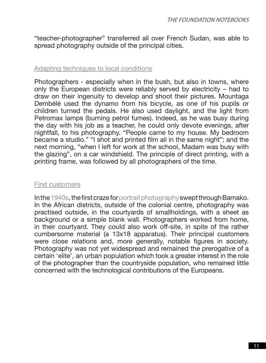"teacher-photographer" transferred all over French Sudan, was able to spread photography outside of the principal cities.

#### Adapting techniques to local conditions

Photographers - especially when in the bush, but also in towns, where only the European districts were reliably served by electricity – had to draw on their ingenuity to develop and shoot their pictures. Mountaga Dembélé used the dynamo from his bicycle, as one of his pupils or children turned the pedals. He also used daylight, and the light from Petromax lamps (burning petrol fumes). Indeed, as he was busy during the day with his job as a teacher, he could only devote evenings, after nightfall, to his photography. "People came to my house. My bedroom became a studio." "I shot and printed film all in the same night"; and the next morning, "when I left for work at the school, Madam was busy with the glazing", on a car windshield. The principle of direct printing, with a printing frame, was followed by all photographers of the time.

#### First customers

In the 1940s, the first craze for portrait photography swept through Bamako. In the African districts, outside of the colonial centre, photography was practised outside, in the courtyards of smallholdings, with a sheet as background or a simple blank wall. Photographers worked from home, in their courtyard. They could also work off-site, in spite of the rather cumbersome material (a 13x18 apparatus). Their principal customers were close relations and, more generally, notable figures in society. Photography was not yet widespread and remained the prerogative of a certain 'elite', an urban population which took a greater interest in the role of the photographer than the countryside population, who remained little concerned with the technological contributions of the Europeans.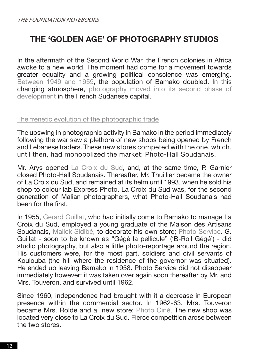## **THE 'GOLDEN AGE' OF PHOTOGRAPHY STUDIOS**

In the aftermath of the Second World War, the French colonies in Africa awoke to a new world. The moment had come for a movement towards greater equality and a growing political conscience was emerging. Between 1949 and 1959, the population of Bamako doubled. In this changing atmosphere, photography moved into its second phase of development in the French Sudanese capital.

#### The frenetic evolution of the photographic trade

The upswing in photographic activity in Bamako in the period immediately following the war saw a plethora of new shops being opened by French and Lebanese traders. These new stores competed with the one, which, until then, had monopolized the market: Photo-Hall Soudanais.

Mr. Arys opened La Croix du Sud, and, at the same time, P. Garnier closed Photo-Hall Soudanais. Thereafter, Mr. Thuillier became the owner of La Croix du Sud, and remained at its helm until 1993, when he sold his shop to colour lab Express Photo. La Croix du Sud was, for the second generation of Malian photographers, what Photo-Hall Soudanais had been for the first.

In 1955, Gerard Guillat, who had initially come to Bamako to manage La Croix du Sud, employed a young graduate of the Maison des Artisans Soudanais, Malick Sidibé, to decorate his own store; Photo Service. G. Guillat - soon to be known as "Gégé la pellicule" ('B-Roll Gégé') - did studio photography, but also a little photo-reportage around the region. His customers were, for the most part, soldiers and civil servants of Koulouba (the hill where the residence of the governor was situated). He ended up leaving Bamako in 1958. Photo Service did not disappear immediately however: it was taken over again soon thereafter by Mr. and Mrs. Touveron, and survived until 1962.

Since 1960, independence had brought with it a decrease in European presence within the commercial sector. In 1962-63, Mrs. Touveron became Mrs. Rolde and a new store: Photo Ciné. The new shop was located very close to La Croix du Sud. Fierce competition arose between the two stores.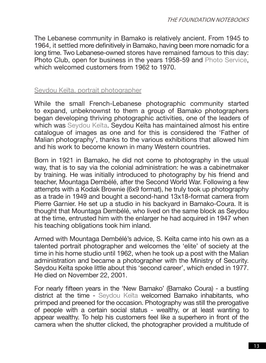The Lebanese community in Bamako is relatively ancient. From 1945 to 1964, it settled more definitively in Bamako, having been more nomadic for a long time. Two Lebanese-owned stores have remained famous to this day: Photo Club, open for business in the years 1958-59 and Photo Service, which welcomed customers from 1962 to 1970.

#### Seydou Keïta, portrait photographer

While the small French-Lebanese photographic community started to expand, unbeknownst to them a group of Bamako photographers began developing thriving photographic activities, one of the leaders of which was Seydou Keïta. Seydou Keïta has maintained almost his entire catalogue of images as one and for this is considered the 'Father of Malian photography', thanks to the various exhibitions that allowed him and his work to become known in many Western countries.

Born in 1921 in Bamako, he did not come to photography in the usual way, that is to say via the colonial administration: he was a cabinetmaker by training. He was initially introduced to photography by his friend and teacher, Mountaga Dembélé, after the Second World War. Following a few attempts with a Kodak Brownie (6x9 format), he truly took up photography as a trade in 1949 and bought a second-hand 13x18-format camera from Pierre Garnier. He set up a studio in his backyard in Bamako-Coura. It is thought that Mountaga Dembélé, who lived on the same block as Seydou at the time, entrusted him with the enlarger he had acquired in 1947 when his teaching obligations took him inland.

Armed with Mountaga Dembélé's advice, S. Keïta came into his own as a talented portrait photographer and welcomes the 'elite' of society at the time in his home studio until 1962, when he took up a post with the Malian administration and became a photographer with the Ministry of Security. Seydou Keïta spoke little about this 'second career', which ended in 1977. He died on November 22, 2001.

For nearly fifteen years in the 'New Bamako' (Bamako Coura) - a bustling district at the time - Seydou Keïta welcomed Bamako inhabitants, who primped and preened for the occasion. Photography was still the prerogative of people with a certain social status - wealthy, or at least wanting to appear wealthy. To help his customers feel like a superhero in front of the camera when the shutter clicked, the photographer provided a multitude of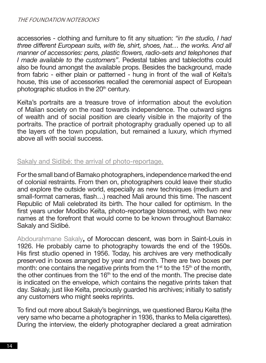accessories - clothing and furniture to fit any situation: *"in the studio, I had three different European suits, with tie, shirt, shoes, hat… the works. And all manner of accessories: pens, plastic flowers, radio-sets and telephones that I made available to the customers"*. Pedestal tables and tablecloths could also be found amongst the available props. Besides the background, made from fabric - either plain or patterned - hung in front of the wall of Keïta's house, this use of accessories recalled the ceremonial aspect of European photographic studios in the 20<sup>th</sup> century.

Keïta's portraits are a treasure trove of information about the evolution of Malian society on the road towards independence. The outward signs of wealth and of social position are clearly visible in the majority of the portraits. The practice of portrait photography gradually opened up to all the layers of the town population, but remained a luxury, which rhymed above all with social success.

#### Sakaly and Sidibé: the arrival of photo-reportage.

For the small band of Bamako photographers, independence marked the end of colonial restraints. From then on, photographers could leave their studio and explore the outside world, especially as new techniques (medium and small-format cameras, flash…) reached Mali around this time. The nascent Republic of Mali celebrated its birth. The hour called for optimism. In the first years under Modibo Keïta, photo-reportage blossomed, with two new names at the forefront that would come to be known throughout Bamako: Sakaly and Sidibé.

Abdourahmane Sakaly**,** of Moroccan descent, was born in Saint-Louis in 1926. He probably came to photography towards the end of the 1950s. His first studio opened in 1956. Today, his archives are very methodically preserved in boxes arranged by year and month. There are two boxes per month: one contains the negative prints from the  $1<sup>st</sup>$  to the  $15<sup>th</sup>$  of the month, the other continues from the  $16<sup>th</sup>$  to the end of the month. The precise date is indicated on the envelope, which contains the negative prints taken that day. Sakaly, just like Keïta, preciously guarded his archives; initially to satisfy any customers who might seeks reprints.

To find out more about Sakaly's beginnings, we questioned Barou Keïta (the very same who became a photographer in 1936, thanks to Melia cigarettes). During the interview, the elderly photographer declared a great admiration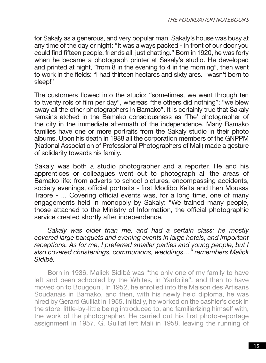for Sakaly as a generous, and very popular man. Sakaly's house was busy at any time of the day or night: "It was always packed - in front of our door you could find fifteen people, friends all, just chatting." Born in 1920, he was forty when he became a photograph printer at Sakaly's studio. He developed and printed at night, "from 8 in the evening to 4 in the morning", then went to work in the fields: "I had thirteen hectares and sixty ares. I wasn't born to sleep!"

The customers flowed into the studio: "sometimes, we went through ten to twenty rols of film per day", whereas "the others did nothing"; "we blew away all the other photographers in Bamako". It is certainly true that Sakaly remains etched in the Bamako consciousness as 'The' photographer of the city in the immediate aftermath of the independence. Many Bamako families have one or more portraits from the Sakaly studio in their photo albums. Upon his death in 1988 all the corporation members of the GNPPM (National Association of Professional Photographers of Mali) made a gesture of solidarity towards his family.

Sakaly was both a studio photographer and a reporter. He and his apprentices or colleagues went out to photograph all the areas of Bamako life: from adverts to school pictures, encompassing accidents, society evenings, official portraits - first Modibo Keïta and then Moussa Traoré - ... Covering official events was, for a long time, one of many engagements held in monopoly by Sakaly: "We trained many people, those attached to the Ministry of Information, the official photographic service created shortly after independence.

*Sakaly was older than me, and had a certain class: he mostly covered large banquets and evening events in large hotels, and important receptions. As for me, I preferred smaller parties and young people, but I also covered christenings, communions, weddings…" remembers Malick Sidibé.*

Born in 1936, Malick Sidibé was "the only one of my family to have left and been schooled by the Whites, in Yanfolila", and then to have moved on to Bougouni. In 1952, he enrolled into the Maison des Artisans Soudanais in Bamako, and then, with his newly held diploma, he was hired by Gerard Guillat in 1955. Initially, he worked on the cashier's desk in the store, little-by-little being introduced to, and familiarizing himself with, the work of the photographer. He carried out his first photo-reportage assignment in 1957. G. Guillat left Mali in 1958, leaving the running of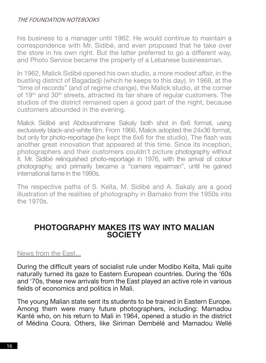#### THE FOUNDATION NOTEROOKS

his business to a manager until 1962. He would continue to maintain a correspondence with Mr. Sidibé, and even proposed that he take over the store in his own right. But the latter preferred to go a different way, and Photo Service became the property of a Lebanese businessman.

In 1962, Malick Sidibé opened his own studio, a more modest affair, in the bustling district of Bagadadji (which he keeps to this day). In 1968, at the "time of records" (and of regime change), the Malick studio, at the corner of 19th and 30th streets, attracted its fair share of regular customers. The studios of the district remained open a good part of the night, because customers abounded in the evening.

Malick Sidibé and Abdourahmane Sakaly both shot in 6x6 format, using exclusively black-and-white film. From 1966, Malick adopted the 24x36 format, but only for photo-reportage (he kept the 6x6 for the studio). The flash was another great innovation that appeared at this time. Since its inception, photographers and their customers couldn't picture photography without it. Mr. Sidibé relinquished photo-reportage in 1976, with the arrival of colour photography, and primarily became a "camera repairman", until he gained international fame in the 1990s.

The respective paths of S. Keïta, M. Sidibé and A. Sakaly are a good illustration of the realities of photography in Bamako from the 1950s into the 1970s.

#### **PHOTOGRAPHY MAKES ITS WAY INTO MALIAN SOCIETY**

#### News from the East...

During the difficult years of socialist rule under Modibo Keïta, Mali quite naturally turned its gaze to Eastern European countries. During the '60s and '70s, these new arrivals from the East played an active role in various fields of economics and politics in Mali.

The young Malian state sent its students to be trained in Eastern Europe. Among them were many future photographers, including: Mamadou Kanté who, on his return to Mali in 1964, opened a studio in the district of Médina Coura. Others, like Siriman Dembélé and Mamadou Wellé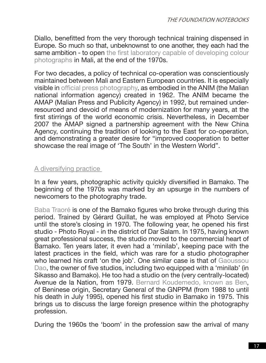Diallo, benefitted from the very thorough technical training dispensed in Europe. So much so that, unbeknownst to one another, they each had the same ambition - to open the first laboratory capable of developing colour photographs in Mali, at the end of the 1970s.

For two decades, a policy of technical co-operation was conscientiously maintained between Mali and Eastern European countries. It is especially visible in official press photography, as embodied in the ANIM (the Malian national information agency) created in 1962. The ANIM became the AMAP (Malian Press and Publicity Agency) in 1992, but remained underresourced and devoid of means of modernization for many years, at the first stirrings of the world economic crisis. Nevertheless, in December 2007 the AMAP signed a partnership agreement with the New China Agency, continuing the tradition of looking to the East for co-operation, and demonstrating a greater desire for "improved cooperation to better showcase the real image of 'The South' in the Western World".

#### A diversifying practice

In a few years, photographic activity quickly diversified in Bamako. The beginning of the 1970s was marked by an upsurge in the numbers of newcomers to the photography trade.

Baba Traoré is one of the Bamako figures who broke through during this period. Trained by Gérard Guillat, he was employed at Photo Service until the store's closing in 1970. The following year, he opened his first studio - Photo Royal - in the district of Dar Salam. In 1975, having known great professional success, the studio moved to the commercial heart of Bamako. Ten years later, it even had a 'minilab', keeping pace with the latest practices in the field, which was rare for a studio photographer who learned his craft 'on the job'. One similar case is that of Gaoussou Dao, the owner of five studios, including two equipped with a 'minilab' (in Sikasso and Bamako). He too had a studio on the (very centrally-located) Avenue de la Nation, from 1979. Bernard Koudemedo, known as Ben, of Beninese origin, Secretary General of the GNPPM (from 1988 to until his death in July 1995), opened his first studio in Bamako in 1975. This brings us to discuss the large foreign presence within the photography profession.

During the 1960s the 'boom' in the profession saw the arrival of many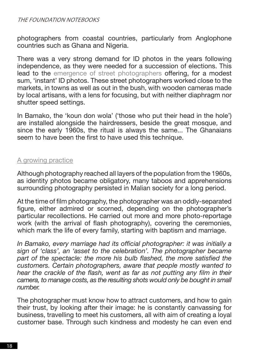#### THE FOUNDATION NOTEROOKS

photographers from coastal countries, particularly from Anglophone countries such as Ghana and Nigeria.

There was a very strong demand for ID photos in the years following independence, as they were needed for a succession of elections. This lead to the emergence of street photographers offering, for a modest sum, 'instant' ID photos. These street photographers worked close to the markets, in towns as well as out in the bush, with wooden cameras made by local artisans, with a lens for focusing, but with neither diaphragm nor shutter speed settings.

In Bamako, the 'koun don wola' ('those who put their head in the hole') are installed alongside the hairdressers, beside the great mosque, and since the early 1960s, the ritual is always the same... The Ghanaians seem to have been the first to have used this technique.

#### A growing practice

Although photography reached all layers of the population from the 1960s, as identity photos became obligatory, many taboos and apprehensions surrounding photography persisted in Malian society for a long period.

At the time of film photography, the photographer was an oddly-separated figure, either admired or scorned, depending on the photographer's particular recollections. He carried out more and more photo-reportage work (with the arrival of flash photography), covering the ceremonies, which mark the life of every family, starting with baptism and marriage.

*In Bamako, every marriage had its official photographer: it was initially a sign of 'class', an 'asset to the celebration'. The photographer became*  part of the spectacle: the more his bulb flashed, the more satisfied the *customers. Certain photographers, aware that people mostly wanted to hear the crackle of the flash, went as far as not putting any film in their camera, to manage costs, as the resulting shots would only be bought in small number.*

The photographer must know how to attract customers, and how to gain their trust, by looking after their image: he is constantly canvassing for business, travelling to meet his customers, all with aim of creating a loyal customer base. Through such kindness and modesty he can even end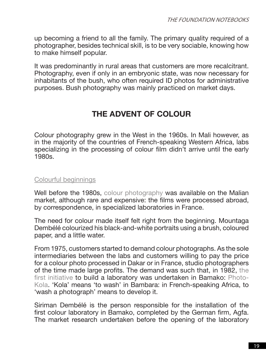up becoming a friend to all the family. The primary quality required of a photographer, besides technical skill, is to be very sociable, knowing how to make himself popular.

It was predominantly in rural areas that customers are more recalcitrant. Photography, even if only in an embryonic state, was now necessary for inhabitants of the bush, who often required ID photos for administrative purposes. Bush photography was mainly practiced on market days.

### **THE ADVENT OF COLOUR**

Colour photography grew in the West in the 1960s. In Mali however, as in the majority of the countries of French-speaking Western Africa, labs specializing in the processing of colour film didn't arrive until the early 1980s.

#### Colourful beginnings

Well before the 1980s, colour photography was available on the Malian market, although rare and expensive: the films were processed abroad, by correspondence, in specialized laboratories in France.

The need for colour made itself felt right from the beginning. Mountaga Dembélé colourized his black-and-white portraits using a brush, coloured paper, and a little water.

From 1975, customers started to demand colour photographs. As the sole intermediaries between the labs and customers willing to pay the price for a colour photo processed in Dakar or in France, studio photographers of the time made large profits. The demand was such that, in 1982, the first initiative to build a laboratory was undertaken in Bamako: Photo-Kola. 'Kola' means 'to wash' in Bambara: in French-speaking Africa, to 'wash a photograph' means to develop it.

Siriman Dembélé is the person responsible for the installation of the first colour laboratory in Bamako, completed by the German firm, Agfa. The market research undertaken before the opening of the laboratory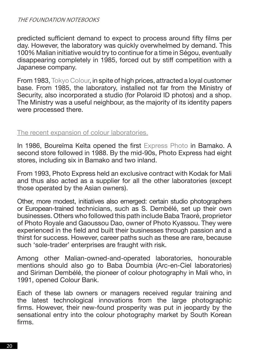#### THE FOUNDATION NOTEROOKS

predicted sufficient demand to expect to process around fifty films per day. However, the laboratory was quickly overwhelmed by demand. This 100% Malian initiative would try to continue for a time in Ségou, eventually disappearing completely in 1985, forced out by stiff competition with a Japanese company.

From 1983, Tokyo Colour, in spite of high prices, attracted a loyal customer base. From 1985, the laboratory, installed not far from the Ministry of Security, also incorporated a studio (for Polaroid ID photos) and a shop. The Ministry was a useful neighbour, as the majority of its identity papers were processed there.

#### The recent expansion of colour laboratories.

In 1986, Boureïma Keïta opened the first Express Photo in Bamako. A second store followed in 1988. By the mid-90s, Photo Express had eight stores, including six in Bamako and two inland.

From 1993, Photo Express held an exclusive contract with Kodak for Mali and thus also acted as a supplier for all the other laboratories (except those operated by the Asian owners).

Other, more modest, initiatives also emerged: certain studio photographers or European-trained technicians, such as S. Dembélé, set up their own businesses. Others who followed this path include Baba Traoré, proprietor of Photo Royale and Gaoussou Dao, owner of Photo Kyassou. They were experienced in the field and built their businesses through passion and a thirst for success. However, career paths such as these are rare, because such 'sole-trader' enterprises are fraught with risk.

Among other Malian-owned-and-operated laboratories, honourable mentions should also go to Baba Doumbia (Arc-en-Ciel laboratories) and Siriman Dembélé, the pioneer of colour photography in Mali who, in 1991, opened Colour Bank.

Each of these lab owners or managers received regular training and the latest technological innovations from the large photographic firms. However, their new-found prosperity was put in jeopardy by the sensational entry into the colour photography market by South Korean firms.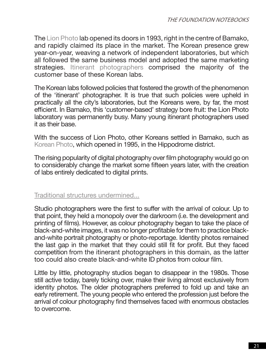The Lion Photo lab opened its doors in 1993, right in the centre of Bamako, and rapidly claimed its place in the market. The Korean presence grew year-on-year, weaving a network of independent laboratories, but which all followed the same business model and adopted the same marketing strategies. Itinerant photographers comprised the majority of the customer base of these Korean labs.

The Korean labs followed policies that fostered the growth of the phenomenon of the 'itinerant' photographer. It is true that such policies were upheld in practically all the city's laboratories, but the Koreans were, by far, the most efficient. In Bamako, this 'customer-based' strategy bore fruit: the Lion Photo laboratory was permanently busy. Many young itinerant photographers used it as their base.

With the success of Lion Photo, other Koreans settled in Bamako, such as Korean Photo, which opened in 1995, in the Hippodrome district.

The rising popularity of digital photography over film photography would go on to considerably change the market some fifteen years later, with the creation of labs entirely dedicated to digital prints.

#### Traditional structures undermined...

Studio photographers were the first to suffer with the arrival of colour. Up to that point, they held a monopoly over the darkroom (i.e. the development and printing of films). However, as colour photography began to take the place of black-and-white images, it was no longer profitable for them to practice blackand-white portrait photography or photo-reportage. Identity photos remained the last gap in the market that they could still fit for profit. But they faced competition from the itinerant photographers in this domain, as the latter too could also create black-and-white ID photos from colour film.

Little by little, photography studios began to disappear in the 1980s. Those still active today, barely ticking over, make their living almost exclusively from identity photos. The older photographers preferred to fold up and take an early retirement. The young people who entered the profession just before the arrival of colour photography find themselves faced with enormous obstacles to overcome.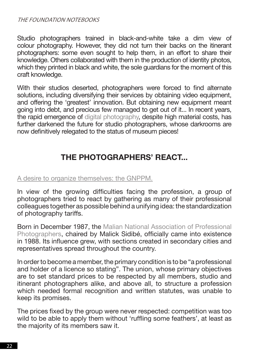Studio photographers trained in black-and-white take a dim view of colour photography. However, they did not turn their backs on the itinerant photographers: some even sought to help them, in an effort to share their knowledge. Others collaborated with them in the production of identity photos, which they printed in black and white, the sole guardians for the moment of this craft knowledge.

With their studios deserted, photographers were forced to find alternate solutions, including diversifying their services by obtaining video equipment, and offering the 'greatest' innovation. But obtaining new equipment meant going into debt, and precious few managed to get out of it... In recent years, the rapid emergence of digital photography, despite high material costs, has further darkened the future for studio photographers, whose darkrooms are now definitively relegated to the status of museum pieces!

## **THE PHOTOGRAPHERS' REACT...**

#### A desire to organize themselves: the GNPPM.

In view of the growing difficulties facing the profession, a group of photographers tried to react by gathering as many of their professional colleagues together as possible behind a unifying idea: the standardization of photography tariffs.

Born in December 1987, the Malian National Association of Professional Photographers, chaired by Malick Sidibé, officially came into existence in 1988. Its influence grew, with sections created in secondary cities and representatives spread throughout the country.

In order to become a member, the primary condition is to be "a professional and holder of a licence so stating". The union, whose primary objectives are to set standard prices to be respected by all members, studio and itinerant photographers alike, and above all, to structure a profession which needed formal recognition and written statutes, was unable to keep its promises.

The prices fixed by the group were never respected: competition was too wild to be able to apply them without 'ruffling some feathers', at least as the majority of its members saw it.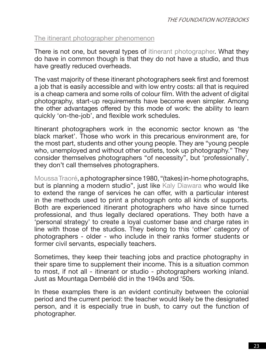#### The itinerant photographer phenomenon

There is not one, but several types of itinerant photographer. What they do have in common though is that they do not have a studio, and thus have greatly reduced overheads.

The vast majority of these itinerant photographers seek first and foremost a job that is easily accessible and with low entry costs: all that is required is a cheap camera and some rolls of colour film. With the advent of digital photography, start-up requirements have become even simpler. Among the other advantages offered by this mode of work: the ability to learn quickly 'on-the-job', and flexible work schedules.

Itinerant photographers work in the economic sector known as 'the black market'. Those who work in this precarious environment are, for the most part, students and other young people. They are "young people who, unemployed and without other outlets, took up photography." They consider themselves photographers "of necessity", but 'professionally', they don't call themselves photographers.

Moussa Traoré, a photographer since 1980, "(takes) in-home photographs, but is planning a modern studio", just like Kaly Diawara who would like to extend the range of services he can offer, with a particular interest in the methods used to print a photograph onto all kinds of supports. Both are experienced itinerant photographers who have since turned professional, and thus legally declared operations. They both have a 'personal strategy' to create a loyal customer base and charge rates in line with those of the studios. They belong to this 'other' category of photographers - older - who include in their ranks former students or former civil servants, especially teachers.

Sometimes, they keep their teaching jobs and practice photography in their spare time to supplement their income. This is a situation common to most, if not all - itinerant or studio - photographers working inland. Just as Mountaga Dembélé did in the 1940s and '50s.

In these examples there is an evident continuity between the colonial period and the current period: the teacher would likely be the designated person, and it is especially true in bush, to carry out the function of photographer.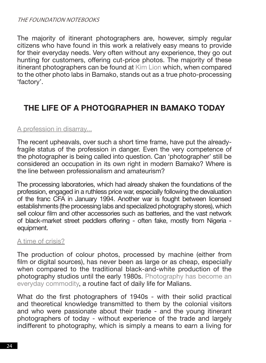The majority of itinerant photographers are, however, simply regular citizens who have found in this work a relatively easy means to provide for their everyday needs. Very often without any experience, they go out hunting for customers, offering cut-price photos. The majority of these itinerant photographers can be found at Kim Lion which, when compared to the other photo labs in Bamako, stands out as a true photo-processing 'factory'.

## **THE LIFE OF A PHOTOGRAPHER IN BAMAKO TODAY**

#### A profession in disarray...

The recent upheavals, over such a short time frame, have put the alreadyfragile status of the profession in danger. Even the very competence of the photographer is being called into question. Can 'photographer' still be considered an occupation in its own right in modern Bamako? Where is the line between professionalism and amateurism?

The processing laboratories, which had already shaken the foundations of the profession, engaged in a ruthless price war, especially following the devaluation of the franc CFA in January 1994. Another war is fought between licensed establishments (the processing labs and specialized photography stores), which sell colour film and other accessories such as batteries, and the vast network of black-market street peddlers offering - often fake, mostly from Nigeria equipment.

#### A time of crisis?

The production of colour photos, processed by machine (either from film or digital sources), has never been as large or as cheap, especially when compared to the traditional black-and-white production of the photography studios until the early 1980s. Photography has become an everyday commodity, a routine fact of daily life for Malians.

What do the first photographers of 1940s - with their solid practical and theoretical knowledge transmitted to them by the colonial visitors and who were passionate about their trade - and the young itinerant photographers of today - without experience of the trade and largely indifferent to photography, which is simply a means to earn a living for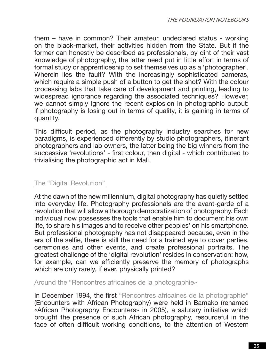them – have in common? Their amateur, undeclared status - working on the black-market, their activities hidden from the State. But if the former can honestly be described as professionals, by dint of their vast knowledge of photography, the latter need put in little effort in terms of formal study or apprenticeship to set themselves up as a 'photographer'. Wherein lies the fault? With the increasingly sophisticated cameras, which require a simple push of a button to get the shot? With the colour processing labs that take care of development and printing, leading to widespread ignorance regarding the associated techniques? However, we cannot simply ignore the recent explosion in photographic output: if photography is losing out in terms of quality, it is gaining in terms of quantity.

This difficult period, as the photography industry searches for new paradigms, is experienced differently by studio photographers, itinerant photographers and lab owners, the latter being the big winners from the successive 'revolutions' - first colour, then digital - which contributed to trivialising the photographic act in Mali.

#### The "Digital Revolution"

At the dawn of the new millennium, digital photography has quietly settled into everyday life. Photography professionals are the avant-garde of a revolution that will allow a thorough democratization of photography. Each individual now possesses the tools that enable him to document his own life, to share his images and to receive other peoples' on his smartphone. But professional photography has not disappeared because, even in the era of the selfie, there is still the need for a trained eye to cover parties, ceremonies and other events, and create professional portraits. The greatest challenge of the 'digital revolution' resides in conservation: how, for example, can we efficiently preserve the memory of photographs which are only rarely, if ever, physically printed?

Around the "Rencontres africaines de la photographie»

In December 1994, the first "Rencontres africaines de la photographie" (Encounters with African Photography) were held in Bamako (renamed «African Photography Encounters» in 2005), a salutary initiative which brought the presence of such African photography, resourceful in the face of often difficult working conditions, to the attention of Western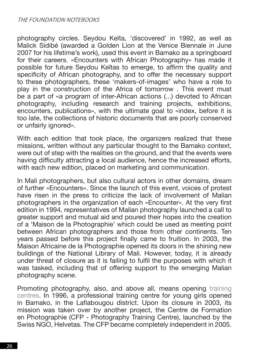photography circles. Seydou Keïta, 'discovered' in 1992, as well as Malick Sidibé (awarded a Golden Lion at the Venice Biennale in June 2007 for his lifetime's work), used this event in Bamako as a springboard for their careers. «Encounters with African Photography» has made it possible for future Seydou Keïtas to emerge, to affirm the quality and specificity of African photography, and to offer the necessary support to these photographers, these 'makers-of-images' who have a role to play in the construction of the Africa of tomorrow . This event must be a part of «a program of inter-African actions (...) devoted to African photography, including research and training projects, exhibitions, encounters, publications», with the ultimate goal to «index, before it is too late, the collections of historic documents that are poorly conserved or unfairly ignored».

With each edition that took place, the organizers realized that these missions, written without any particular thought to the Bamako context, were out of step with the realities on the ground, and that the events were having difficulty attracting a local audience, hence the increased efforts, with each new edition, placed on marketing and communication.

In Mali photographers, but also cultural actors in other domains, dream of further «Encounters». Since the launch of this event, voices of protest have risen in the press to criticize the lack of involvement of Malian photographers in the organization of each «Encounter». At the very first edition in 1994, representatives of Malian photography launched a call to greater support and mutual aid and poured their hopes into the creation of a 'Maison de la Photographie' which could be used as meeting point between African photographers and those from other continents. Ten years passed before this project finally came to fruition. In 2003, the Maison Africaine de la Photographie opened its doors in the shining new buildings of the National Library of Mali. However, today, it is already under threat of closure as it is failing to fulfil the purposes with which it was tasked, including that of offering support to the emerging Malian photography scene.

Promoting photography, also, and above all, means opening training centres. In 1996, a professional training centre for young girls opened in Bamako, in the Lafiabougou district. Upon its closure in 2003, its mission was taken over by another project, the Centre de Formation en Photographie (CFP - Photography Training Centre), launched by the Swiss NGO, Helvetas. The CFP became completely independent in 2005.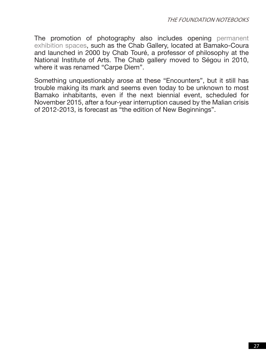The promotion of photography also includes opening permanent exhibition spaces, such as the Chab Gallery, located at Bamako-Coura and launched in 2000 by Chab Touré, a professor of philosophy at the National Institute of Arts. The Chab gallery moved to Ségou in 2010, where it was renamed "Carpe Diem".

Something unquestionably arose at these "Encounters", but it still has trouble making its mark and seems even today to be unknown to most Bamako inhabitants, even if the next biennial event, scheduled for November 2015, after a four-year interruption caused by the Malian crisis of 2012-2013, is forecast as "the edition of New Beginnings".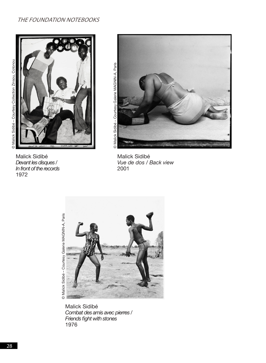#### THE FOUNDATION NOTEBOOKS





Malick Sidibé *Devant les disques / In front of the records*

1972



Malick Sidibé *Vue de dos / Back view* 2001



Malick Sidibé *Combat des amis avec pierres / Friends fight with stones* 1976